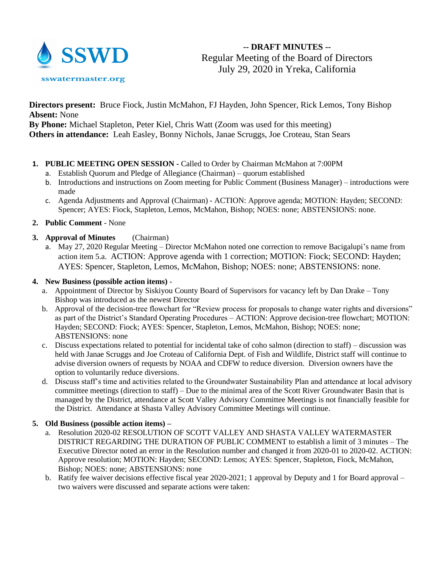

# **-- DRAFT MINUTES --** Regular Meeting of the Board of Directors July 29, 2020 in Yreka, California

**Directors present:** Bruce Fiock, Justin McMahon, FJ Hayden, John Spencer, Rick Lemos, Tony Bishop **Absent:** None

**By Phone:** Michael Stapleton, Peter Kiel, Chris Watt (Zoom was used for this meeting) **Others in attendance:** Leah Easley, Bonny Nichols, Janae Scruggs, Joe Croteau, Stan Sears

- **1. PUBLIC MEETING OPEN SESSION -** Called to Order by Chairman McMahon at 7:00PM
	- a. Establish Quorum and Pledge of Allegiance (Chairman) quorum established
	- b. Introductions and instructions on Zoom meeting for Public Comment (Business Manager) introductions were made
	- c. Agenda Adjustments and Approval (Chairman) ACTION: Approve agenda; MOTION: Hayden; SECOND: Spencer; AYES: Fiock, Stapleton, Lemos, McMahon, Bishop; NOES: none; ABSTENSIONS: none.
- **2. Public Comment**  None

## **3. Approval of Minutes** (Chairman)

a. May 27, 2020 Regular Meeting – Director McMahon noted one correction to remove Bacigalupi's name from action item 5.a. ACTION: Approve agenda with 1 correction; MOTION: Fiock; SECOND: Hayden; AYES: Spencer, Stapleton, Lemos, McMahon, Bishop; NOES: none; ABSTENSIONS: none.

### **4. New Business (possible action items)** -

- a. Appointment of Director by Siskiyou County Board of Supervisors for vacancy left by Dan Drake Tony Bishop was introduced as the newest Director
- b. Approval of the decision-tree flowchart for "Review process for proposals to change water rights and diversions" as part of the District's Standard Operating Procedures – ACTION: Approve decision-tree flowchart; MOTION: Hayden; SECOND: Fiock; AYES: Spencer, Stapleton, Lemos, McMahon, Bishop; NOES: none; ABSTENSIONS: none
- c. Discuss expectations related to potential for incidental take of coho salmon (direction to staff) discussion was held with Janae Scruggs and Joe Croteau of California Dept. of Fish and Wildlife, District staff will continue to advise diversion owners of requests by NOAA and CDFW to reduce diversion. Diversion owners have the option to voluntarily reduce diversions.
- d. Discuss staff's time and activities related to the Groundwater Sustainability Plan and attendance at local advisory committee meetings (direction to staff) – Due to the minimal area of the Scott River Groundwater Basin that is managed by the District, attendance at Scott Valley Advisory Committee Meetings is not financially feasible for the District. Attendance at Shasta Valley Advisory Committee Meetings will continue.

### **5. Old Business (possible action items) –**

- a. Resolution 2020-02 RESOLUTION OF SCOTT VALLEY AND SHASTA VALLEY WATERMASTER DISTRICT REGARDING THE DURATION OF PUBLIC COMMENT to establish a limit of 3 minutes – The Executive Director noted an error in the Resolution number and changed it from 2020-01 to 2020-02. ACTION: Approve resolution; MOTION: Hayden; SECOND: Lemos; AYES: Spencer, Stapleton, Fiock, McMahon, Bishop; NOES: none; ABSTENSIONS: none
- b. Ratify fee waiver decisions effective fiscal year 2020-2021; 1 approval by Deputy and 1 for Board approval two waivers were discussed and separate actions were taken: